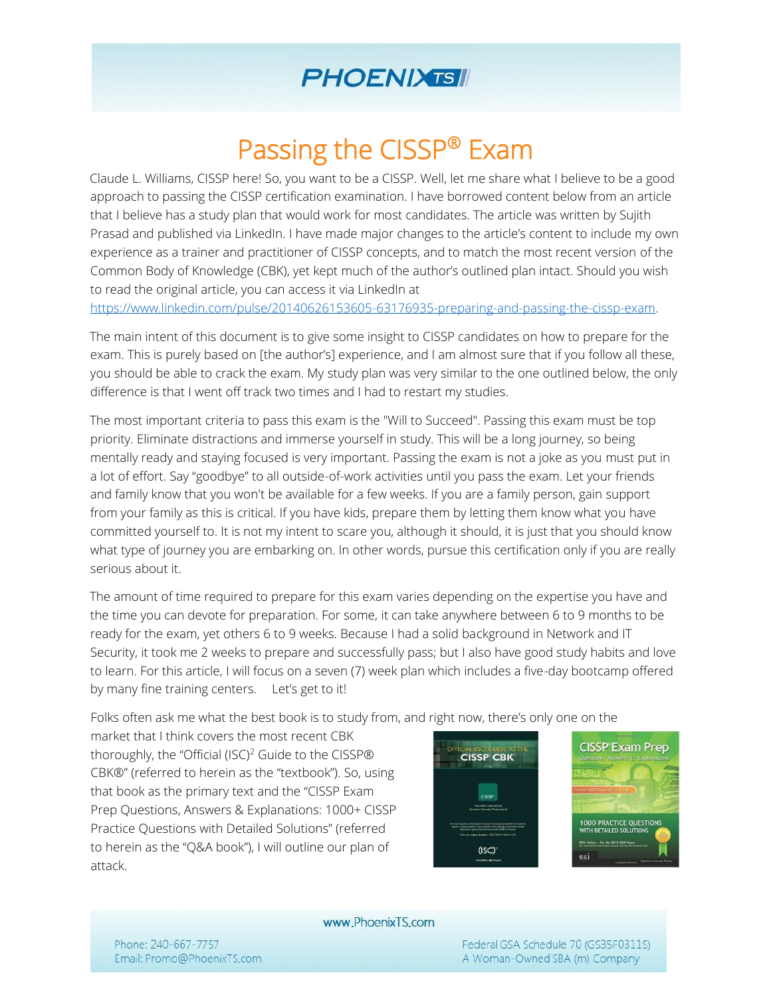## **PHOENIXTSII**

# Passing the CISSP® Exam

Claude L. Williams, CISSP here! So, you want to be a CISSP. Well, let me share what I believe to be a good approach to passing the CISSP certification examination. I have borrowed content below from an article that I believe has a study plan that would work for most candidates. The article was written by Sujith Prasad and published via LinkedIn. I have made major changes to the article's content to include my own experience as a trainer and practitioner of CISSP concepts, and to match the most recent version of the Common Body of Knowledge (CBK), yet kept much of the author's outlined plan intact. Should you wish to read the original article, you can access it via LinkedIn at

[https://www.linkedin.com/pulse/20140626153605-63176935-preparing-and-passing-the-cissp-exam.](https://www.linkedin.com/pulse/20140626153605-63176935-preparing-and-passing-the-cissp-exam) 

The main intent of this document is to give some insight to CISSP candidates on how to prepare for the exam. This is purely based on [the author's] experience, and I am almost sure that if you follow all these, you should be able to crack the exam. My study plan was very similar to the one outlined below, the only difference is that I went off track two times and I had to restart my studies.

The most important criteria to pass this exam is the "Will to Succeed". Passing this exam must be top priority. Eliminate distractions and immerse yourself in study. This will be a long journey, so being mentally ready and staying focused is very important. Passing the exam is not a joke as you must put in a lot of effort. Say "goodbye" to all outside-of-work activities until you pass the exam. Let your friends and family know that you won't be available for a few weeks. If you are a family person, gain support from your family as this is critical. If you have kids, prepare them by letting them know what you have committed yourself to. It is not my intent to scare you, although it should, it is just that you should know what type of journey you are embarking on. In other words, pursue this certification only if you are really serious about it.

The amount of time required to prepare for this exam varies depending on the expertise you have and the time you can devote for preparation. For some, it can take anywhere between 6 to 9 months to be ready for the exam, yet others 6 to 9 weeks. Because I had a solid background in Network and IT Security, it took me 2 weeks to prepare and successfully pass; but I also have good study habits and love to learn. For this article, I will focus on a seven (7) week plan which includes a five-day bootcamp offered by many fine training centers. Let's get to it!

Folks often ask me what the best book is to study from, and right now, there's only one on the

market that I think covers the most recent CBK thoroughly, the "Official (ISC)<sup>2</sup> Guide to the CISSP® CBK®" (referred to herein as the "textbook"). So, using that book as the primary text and the "CISSP Exam Prep Questions, Answers & Explanations: 1000+ CISSP Practice Questions with Detailed Solutions" (referred to herein as the "Q&A book"), I will outline our plan of attack.



www.PhoenixTS.com

Phone: 240-667-7757 Email: Promo@PhoenixTS.com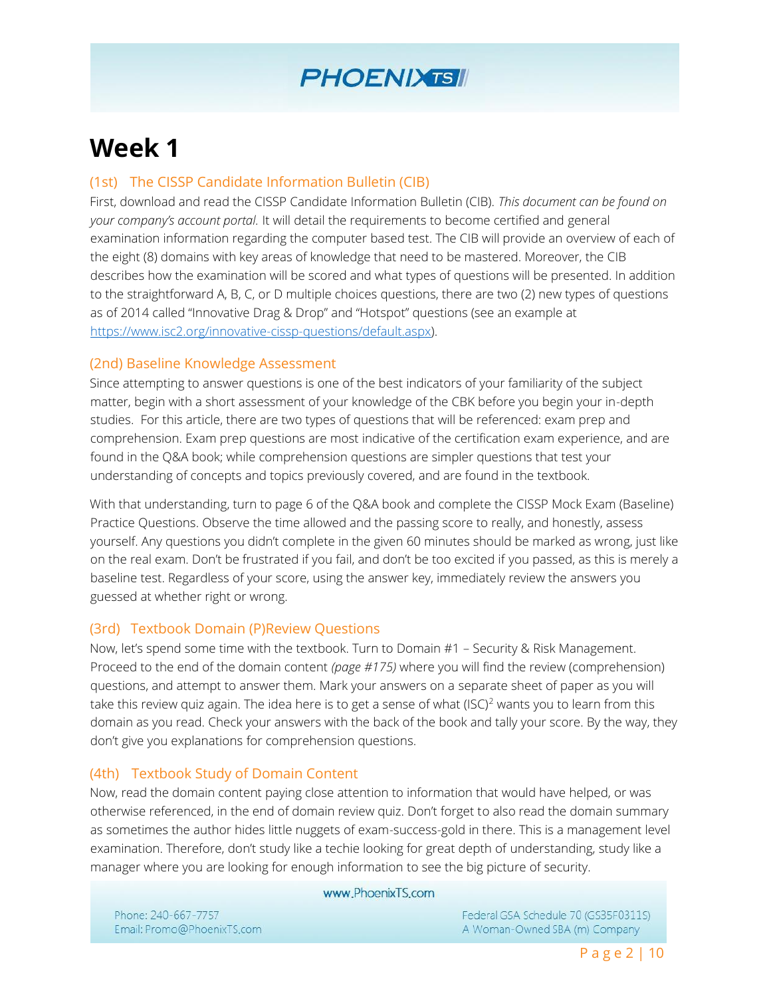

# **Week 1**

## (1st) The CISSP Candidate Information Bulletin (CIB)

First, download and read the CISSP Candidate Information Bulletin (CIB). *This document can be found on your company's account portal.* It will detail the requirements to become certified and general examination information regarding the computer based test. The CIB will provide an overview of each of the eight (8) domains with key areas of knowledge that need to be mastered. Moreover, the CIB describes how the examination will be scored and what types of questions will be presented. In addition to the straightforward A, B, C, or D multiple choices questions, there are two (2) new types of questions as of 2014 called "Innovative Drag & Drop" and "Hotspot" questions (see an example at [https://www.isc2.org/innovative-cissp-questions/default.aspx\).](https://www.isc2.org/innovative-cissp-questions/default.aspx)

### (2nd) Baseline Knowledge Assessment

Since attempting to answer questions is one of the best indicators of your familiarity of the subject matter, begin with a short assessment of your knowledge of the CBK before you begin your in-depth studies. For this article, there are two types of questions that will be referenced: exam prep and comprehension. Exam prep questions are most indicative of the certification exam experience, and are found in the Q&A book; while comprehension questions are simpler questions that test your understanding of concepts and topics previously covered, and are found in the textbook.

With that understanding, turn to page 6 of the Q&A book and complete the CISSP Mock Exam (Baseline) Practice Questions. Observe the time allowed and the passing score to really, and honestly, assess yourself. Any questions you didn't complete in the given 60 minutes should be marked as wrong, just like on the real exam. Don't be frustrated if you fail, and don't be too excited if you passed, as this is merely a baseline test. Regardless of your score, using the answer key, immediately review the answers you guessed at whether right or wrong.

## (3rd) Textbook Domain (P)Review Questions

Now, let's spend some time with the textbook. Turn to Domain #1 – Security & Risk Management. Proceed to the end of the domain content *(page #175)* where you will find the review (comprehension) questions, and attempt to answer them. Mark your answers on a separate sheet of paper as you will take this review quiz again. The idea here is to get a sense of what  $(ISC)^2$  wants you to learn from this domain as you read. Check your answers with the back of the book and tally your score. By the way, they don't give you explanations for comprehension questions.

#### (4th) Textbook Study of Domain Content

Now, read the domain content paying close attention to information that would have helped, or was otherwise referenced, in the end of domain review quiz. Don't forget to also read the domain summary as sometimes the author hides little nuggets of exam-success-gold in there. This is a management level examination. Therefore, don't study like a techie looking for great depth of understanding, study like a manager where you are looking for enough information to see the big picture of security.

#### www.PhoenixTS.com

Phone: 240-667-7757 Email: Promo@PhoenixTS.com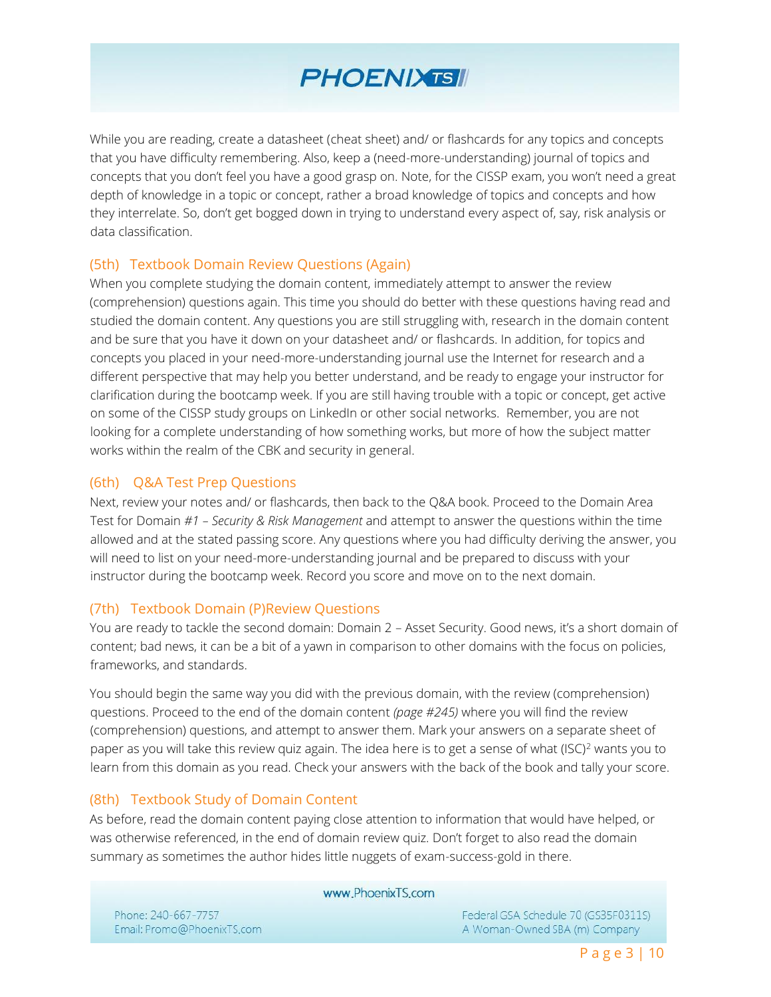## **PHOENIXTSII**

While you are reading, create a datasheet (cheat sheet) and/ or flashcards for any topics and concepts that you have difficulty remembering. Also, keep a (need-more-understanding) journal of topics and concepts that you don't feel you have a good grasp on. Note, for the CISSP exam, you won't need a great depth of knowledge in a topic or concept, rather a broad knowledge of topics and concepts and how they interrelate. So, don't get bogged down in trying to understand every aspect of, say, risk analysis or data classification.

### (5th) Textbook Domain Review Questions (Again)

When you complete studying the domain content, immediately attempt to answer the review (comprehension) questions again. This time you should do better with these questions having read and studied the domain content. Any questions you are still struggling with, research in the domain content and be sure that you have it down on your datasheet and/ or flashcards. In addition, for topics and concepts you placed in your need-more-understanding journal use the Internet for research and a different perspective that may help you better understand, and be ready to engage your instructor for clarification during the bootcamp week. If you are still having trouble with a topic or concept, get active on some of the CISSP study groups on LinkedIn or other social networks. Remember, you are not looking for a complete understanding of how something works, but more of how the subject matter works within the realm of the CBK and security in general.

#### (6th) Q&A Test Prep Questions

Next, review your notes and/ or flashcards, then back to the Q&A book. Proceed to the Domain Area Test for Domain *#1 – Security & Risk Management* and attempt to answer the questions within the time allowed and at the stated passing score. Any questions where you had difficulty deriving the answer, you will need to list on your need-more-understanding journal and be prepared to discuss with your instructor during the bootcamp week. Record you score and move on to the next domain.

#### (7th) Textbook Domain (P)Review Questions

You are ready to tackle the second domain: Domain 2 – Asset Security. Good news, it's a short domain of content; bad news, it can be a bit of a yawn in comparison to other domains with the focus on policies, frameworks, and standards.

You should begin the same way you did with the previous domain, with the review (comprehension) questions. Proceed to the end of the domain content *(page #245)* where you will find the review (comprehension) questions, and attempt to answer them. Mark your answers on a separate sheet of paper as you will take this review quiz again. The idea here is to get a sense of what (ISC)<sup>2</sup> wants you to learn from this domain as you read. Check your answers with the back of the book and tally your score.

#### (8th) Textbook Study of Domain Content

As before, read the domain content paying close attention to information that would have helped, or was otherwise referenced, in the end of domain review quiz. Don't forget to also read the domain summary as sometimes the author hides little nuggets of exam-success-gold in there.

www.PhoenixTS.com

Phone: 240-667-7757 Email: Promo@PhoenixTS.com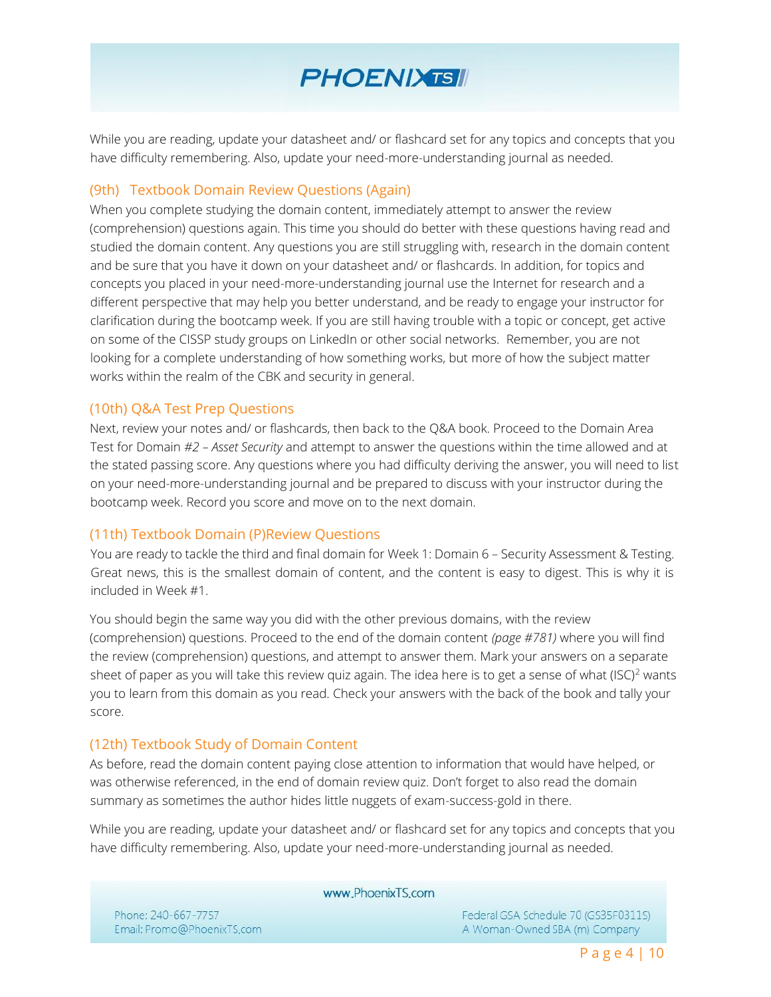## **PHOENIXTSII**

While you are reading, update your datasheet and/ or flashcard set for any topics and concepts that you have difficulty remembering. Also, update your need-more-understanding journal as needed.

#### (9th) Textbook Domain Review Questions (Again)

When you complete studying the domain content, immediately attempt to answer the review (comprehension) questions again. This time you should do better with these questions having read and studied the domain content. Any questions you are still struggling with, research in the domain content and be sure that you have it down on your datasheet and/ or flashcards. In addition, for topics and concepts you placed in your need-more-understanding journal use the Internet for research and a different perspective that may help you better understand, and be ready to engage your instructor for clarification during the bootcamp week. If you are still having trouble with a topic or concept, get active on some of the CISSP study groups on LinkedIn or other social networks. Remember, you are not looking for a complete understanding of how something works, but more of how the subject matter works within the realm of the CBK and security in general.

#### (10th) Q&A Test Prep Questions

Next, review your notes and/ or flashcards, then back to the Q&A book. Proceed to the Domain Area Test for Domain *#2 – Asset Security* and attempt to answer the questions within the time allowed and at the stated passing score. Any questions where you had difficulty deriving the answer, you will need to list on your need-more-understanding journal and be prepared to discuss with your instructor during the bootcamp week. Record you score and move on to the next domain.

#### (11th) Textbook Domain (P)Review Questions

You are ready to tackle the third and final domain for Week 1: Domain 6 – Security Assessment & Testing. Great news, this is the smallest domain of content, and the content is easy to digest. This is why it is included in Week #1.

You should begin the same way you did with the other previous domains, with the review (comprehension) questions. Proceed to the end of the domain content *(page #781)* where you will find the review (comprehension) questions, and attempt to answer them. Mark your answers on a separate sheet of paper as you will take this review quiz again. The idea here is to get a sense of what  $(ISC)^2$  wants you to learn from this domain as you read. Check your answers with the back of the book and tally your score.

#### (12th) Textbook Study of Domain Content

As before, read the domain content paying close attention to information that would have helped, or was otherwise referenced, in the end of domain review quiz. Don't forget to also read the domain summary as sometimes the author hides little nuggets of exam-success-gold in there.

While you are reading, update your datasheet and/ or flashcard set for any topics and concepts that you have difficulty remembering. Also, update your need-more-understanding journal as needed.

www.PhoenixTS.com

Phone: 240-667-7757 Email: Promo@PhoenixTS.com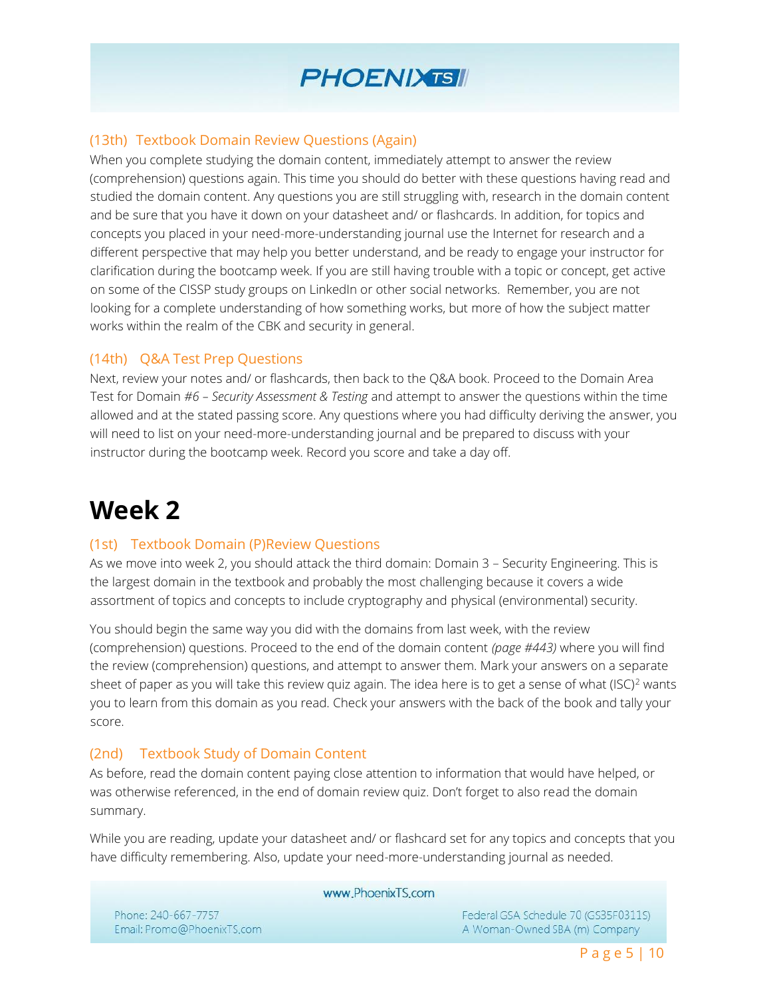

## (13th) Textbook Domain Review Questions (Again)

When you complete studying the domain content, immediately attempt to answer the review (comprehension) questions again. This time you should do better with these questions having read and studied the domain content. Any questions you are still struggling with, research in the domain content and be sure that you have it down on your datasheet and/ or flashcards. In addition, for topics and concepts you placed in your need-more-understanding journal use the Internet for research and a different perspective that may help you better understand, and be ready to engage your instructor for clarification during the bootcamp week. If you are still having trouble with a topic or concept, get active on some of the CISSP study groups on LinkedIn or other social networks. Remember, you are not looking for a complete understanding of how something works, but more of how the subject matter works within the realm of the CBK and security in general.

### (14th) Q&A Test Prep Questions

Next, review your notes and/ or flashcards, then back to the Q&A book. Proceed to the Domain Area Test for Domain *#6 – Security Assessment & Testing* and attempt to answer the questions within the time allowed and at the stated passing score. Any questions where you had difficulty deriving the answer, you will need to list on your need-more-understanding journal and be prepared to discuss with your instructor during the bootcamp week. Record you score and take a day off.

# **Week 2**

## (1st) Textbook Domain (P)Review Questions

As we move into week 2, you should attack the third domain: Domain 3 – Security Engineering. This is the largest domain in the textbook and probably the most challenging because it covers a wide assortment of topics and concepts to include cryptography and physical (environmental) security.

You should begin the same way you did with the domains from last week, with the review (comprehension) questions. Proceed to the end of the domain content *(page #443)* where you will find the review (comprehension) questions, and attempt to answer them. Mark your answers on a separate sheet of paper as you will take this review quiz again. The idea here is to get a sense of what  $(ISC)^2$  wants you to learn from this domain as you read. Check your answers with the back of the book and tally your score.

## (2nd) Textbook Study of Domain Content

As before, read the domain content paying close attention to information that would have helped, or was otherwise referenced, in the end of domain review quiz. Don't forget to also read the domain summary.

While you are reading, update your datasheet and/ or flashcard set for any topics and concepts that you have difficulty remembering. Also, update your need-more-understanding journal as needed.

www.PhoenixTS.com

Phone: 240-667-7757 Email: Promo@PhoenixTS.com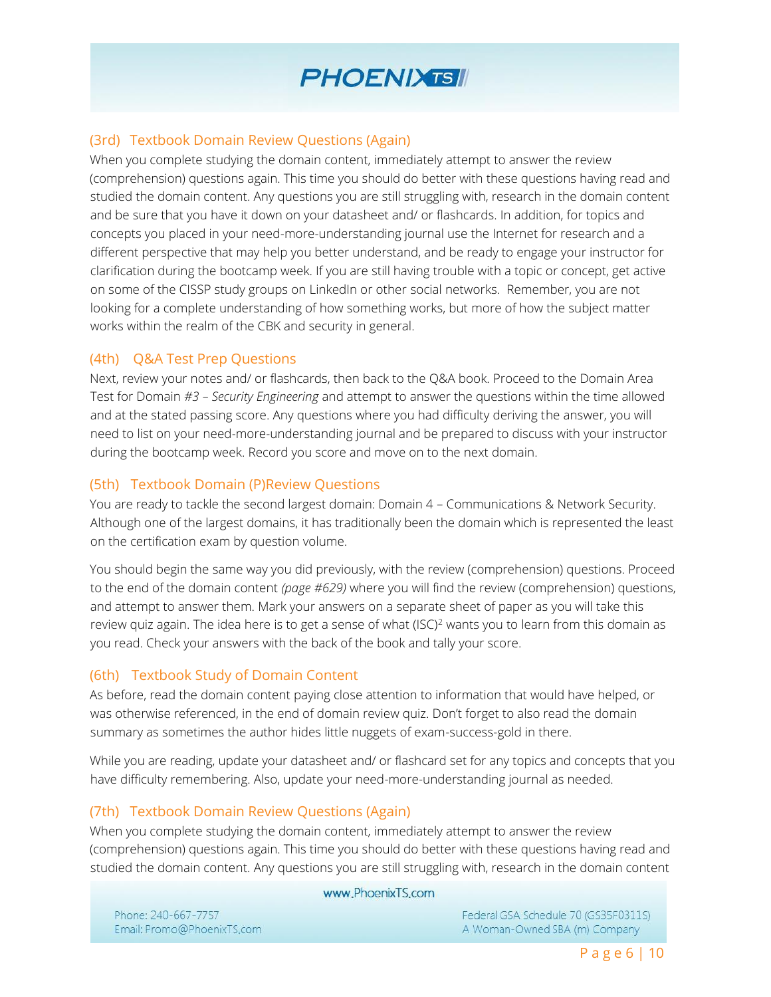

## (3rd) Textbook Domain Review Questions (Again)

When you complete studying the domain content, immediately attempt to answer the review (comprehension) questions again. This time you should do better with these questions having read and studied the domain content. Any questions you are still struggling with, research in the domain content and be sure that you have it down on your datasheet and/ or flashcards. In addition, for topics and concepts you placed in your need-more-understanding journal use the Internet for research and a different perspective that may help you better understand, and be ready to engage your instructor for clarification during the bootcamp week. If you are still having trouble with a topic or concept, get active on some of the CISSP study groups on LinkedIn or other social networks. Remember, you are not looking for a complete understanding of how something works, but more of how the subject matter works within the realm of the CBK and security in general.

### (4th) Q&A Test Prep Questions

Next, review your notes and/ or flashcards, then back to the Q&A book. Proceed to the Domain Area Test for Domain *#3 – Security Engineering* and attempt to answer the questions within the time allowed and at the stated passing score. Any questions where you had difficulty deriving the answer, you will need to list on your need-more-understanding journal and be prepared to discuss with your instructor during the bootcamp week. Record you score and move on to the next domain.

## (5th) Textbook Domain (P)Review Questions

You are ready to tackle the second largest domain: Domain 4 – Communications & Network Security. Although one of the largest domains, it has traditionally been the domain which is represented the least on the certification exam by question volume.

You should begin the same way you did previously, with the review (comprehension) questions. Proceed to the end of the domain content *(page #629)* where you will find the review (comprehension) questions, and attempt to answer them. Mark your answers on a separate sheet of paper as you will take this review quiz again. The idea here is to get a sense of what  $(ISC)^2$  wants you to learn from this domain as you read. Check your answers with the back of the book and tally your score.

#### (6th) Textbook Study of Domain Content

As before, read the domain content paying close attention to information that would have helped, or was otherwise referenced, in the end of domain review quiz. Don't forget to also read the domain summary as sometimes the author hides little nuggets of exam-success-gold in there.

While you are reading, update your datasheet and/ or flashcard set for any topics and concepts that you have difficulty remembering. Also, update your need-more-understanding journal as needed.

#### (7th) Textbook Domain Review Questions (Again)

When you complete studying the domain content, immediately attempt to answer the review (comprehension) questions again. This time you should do better with these questions having read and studied the domain content. Any questions you are still struggling with, research in the domain content

#### www.PhoenixTS.com

Phone: 240-667-7757 Email: Promo@PhoenixTS.com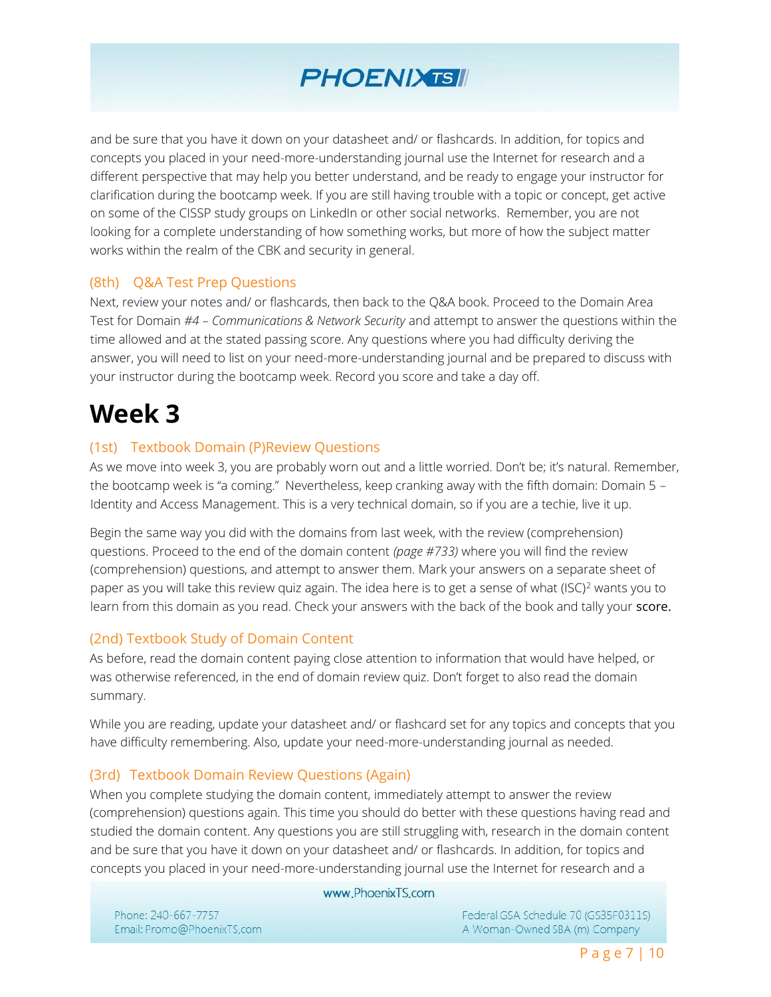

and be sure that you have it down on your datasheet and/ or flashcards. In addition, for topics and concepts you placed in your need-more-understanding journal use the Internet for research and a different perspective that may help you better understand, and be ready to engage your instructor for clarification during the bootcamp week. If you are still having trouble with a topic or concept, get active on some of the CISSP study groups on LinkedIn or other social networks. Remember, you are not looking for a complete understanding of how something works, but more of how the subject matter works within the realm of the CBK and security in general.

### (8th) Q&A Test Prep Questions

Next, review your notes and/ or flashcards, then back to the Q&A book. Proceed to the Domain Area Test for Domain *#4 – Communications & Network Security* and attempt to answer the questions within the time allowed and at the stated passing score. Any questions where you had difficulty deriving the answer, you will need to list on your need-more-understanding journal and be prepared to discuss with your instructor during the bootcamp week. Record you score and take a day off.

# **Week 3**

### (1st) Textbook Domain (P)Review Questions

As we move into week 3, you are probably worn out and a little worried. Don't be; it's natural. Remember, the bootcamp week is "a coming." Nevertheless, keep cranking away with the fifth domain: Domain 5 – Identity and Access Management. This is a very technical domain, so if you are a techie, live it up.

Begin the same way you did with the domains from last week, with the review (comprehension) questions. Proceed to the end of the domain content *(page #733)* where you will find the review (comprehension) questions, and attempt to answer them. Mark your answers on a separate sheet of paper as you will take this review quiz again. The idea here is to get a sense of what (ISC)<sup>2</sup> wants you to learn from this domain as you read. Check your answers with the back of the book and tally your score.

#### (2nd) Textbook Study of Domain Content

As before, read the domain content paying close attention to information that would have helped, or was otherwise referenced, in the end of domain review quiz. Don't forget to also read the domain summary.

While you are reading, update your datasheet and/ or flashcard set for any topics and concepts that you have difficulty remembering. Also, update your need-more-understanding journal as needed.

#### (3rd) Textbook Domain Review Questions (Again)

When you complete studying the domain content, immediately attempt to answer the review (comprehension) questions again. This time you should do better with these questions having read and studied the domain content. Any questions you are still struggling with, research in the domain content and be sure that you have it down on your datasheet and/ or flashcards. In addition, for topics and concepts you placed in your need-more-understanding journal use the Internet for research and a

#### www.PhoenixTS.com

Phone: 240-667-7757 Email: Promo@PhoenixTS.com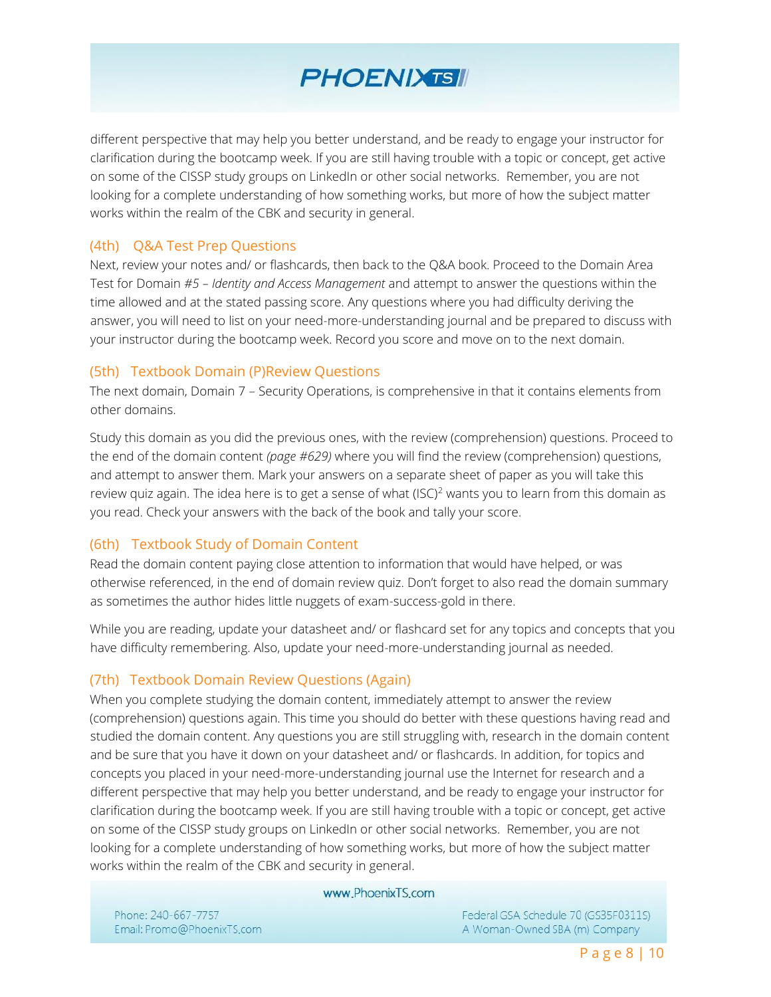

different perspective that may help you better understand, and be ready to engage your instructor for clarification during the bootcamp week. If you are still having trouble with a topic or concept, get active on some of the CISSP study groups on LinkedIn or other social networks. Remember, you are not looking for a complete understanding of how something works, but more of how the subject matter works within the realm of the CBK and security in general.

#### (4th) Q&A Test Prep Questions

Next, review your notes and/ or flashcards, then back to the Q&A book. Proceed to the Domain Area Test for Domain *#5 – Identity and Access Management* and attempt to answer the questions within the time allowed and at the stated passing score. Any questions where you had difficulty deriving the answer, you will need to list on your need-more-understanding journal and be prepared to discuss with your instructor during the bootcamp week. Record you score and move on to the next domain.

#### (5th) Textbook Domain (P)Review Questions

The next domain, Domain 7 – Security Operations, is comprehensive in that it contains elements from other domains.

Study this domain as you did the previous ones, with the review (comprehension) questions. Proceed to the end of the domain content *(page #629)* where you will find the review (comprehension) questions, and attempt to answer them. Mark your answers on a separate sheet of paper as you will take this review quiz again. The idea here is to get a sense of what  $(ISC)^2$  wants you to learn from this domain as you read. Check your answers with the back of the book and tally your score.

#### (6th) Textbook Study of Domain Content

Read the domain content paying close attention to information that would have helped, or was otherwise referenced, in the end of domain review quiz. Don't forget to also read the domain summary as sometimes the author hides little nuggets of exam-success-gold in there.

While you are reading, update your datasheet and/ or flashcard set for any topics and concepts that you have difficulty remembering. Also, update your need-more-understanding journal as needed.

## (7th) Textbook Domain Review Questions (Again)

When you complete studying the domain content, immediately attempt to answer the review (comprehension) questions again. This time you should do better with these questions having read and studied the domain content. Any questions you are still struggling with, research in the domain content and be sure that you have it down on your datasheet and/ or flashcards. In addition, for topics and concepts you placed in your need-more-understanding journal use the Internet for research and a different perspective that may help you better understand, and be ready to engage your instructor for clarification during the bootcamp week. If you are still having trouble with a topic or concept, get active on some of the CISSP study groups on LinkedIn or other social networks. Remember, you are not looking for a complete understanding of how something works, but more of how the subject matter works within the realm of the CBK and security in general.

#### www.PhoenixTS.com

Phone: 240-667-7757 Email: Promo@PhoenixTS.com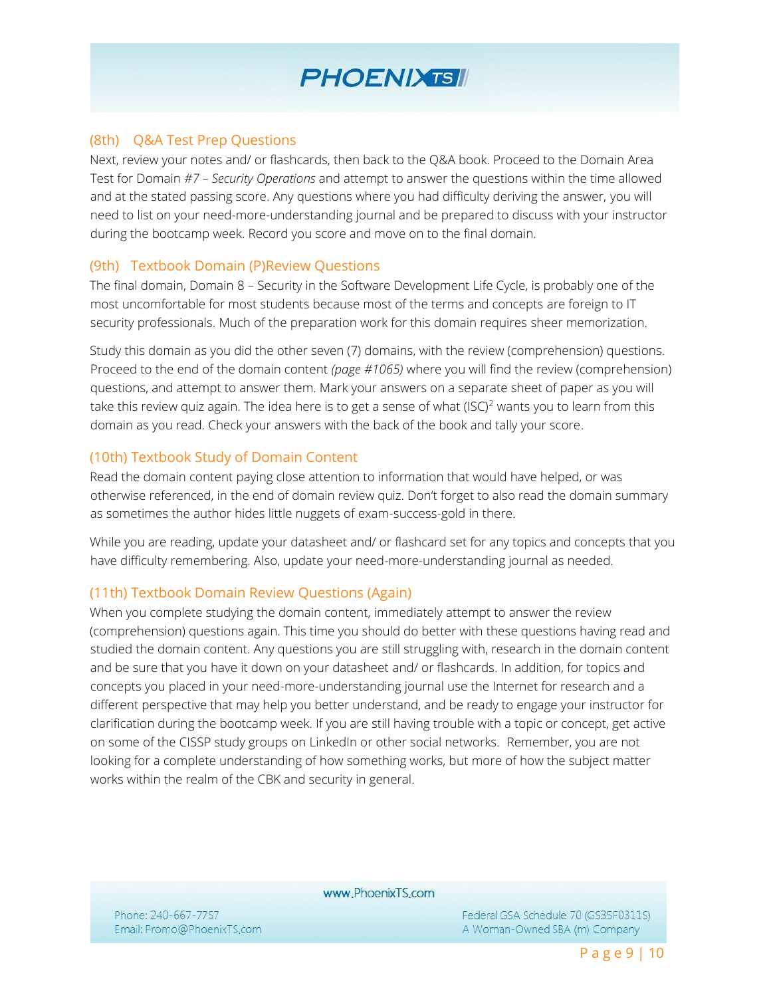

#### (8th) Q&A Test Prep Questions

Next, review your notes and/ or flashcards, then back to the Q&A book. Proceed to the Domain Area Test for Domain *#7 – Security Operations* and attempt to answer the questions within the time allowed and at the stated passing score. Any questions where you had difficulty deriving the answer, you will need to list on your need-more-understanding journal and be prepared to discuss with your instructor during the bootcamp week. Record you score and move on to the final domain.

#### (9th) Textbook Domain (P)Review Questions

The final domain, Domain 8 – Security in the Software Development Life Cycle, is probably one of the most uncomfortable for most students because most of the terms and concepts are foreign to IT security professionals. Much of the preparation work for this domain requires sheer memorization.

Study this domain as you did the other seven (7) domains, with the review (comprehension) questions. Proceed to the end of the domain content *(page #1065)* where you will find the review (comprehension) questions, and attempt to answer them. Mark your answers on a separate sheet of paper as you will take this review quiz again. The idea here is to get a sense of what  $(ISC)^2$  wants you to learn from this domain as you read. Check your answers with the back of the book and tally your score.

### (10th) Textbook Study of Domain Content

Read the domain content paying close attention to information that would have helped, or was otherwise referenced, in the end of domain review quiz. Don't forget to also read the domain summary as sometimes the author hides little nuggets of exam-success-gold in there.

While you are reading, update your datasheet and/ or flashcard set for any topics and concepts that you have difficulty remembering. Also, update your need-more-understanding journal as needed.

#### (11th) Textbook Domain Review Questions (Again)

When you complete studying the domain content, immediately attempt to answer the review (comprehension) questions again. This time you should do better with these questions having read and studied the domain content. Any questions you are still struggling with, research in the domain content and be sure that you have it down on your datasheet and/ or flashcards. In addition, for topics and concepts you placed in your need-more-understanding journal use the Internet for research and a different perspective that may help you better understand, and be ready to engage your instructor for clarification during the bootcamp week. If you are still having trouble with a topic or concept, get active on some of the CISSP study groups on LinkedIn or other social networks. Remember, you are not looking for a complete understanding of how something works, but more of how the subject matter works within the realm of the CBK and security in general.

www.PhoenixTS.com

Phone: 240-667-7757 Email: Promo@PhoenixTS.com